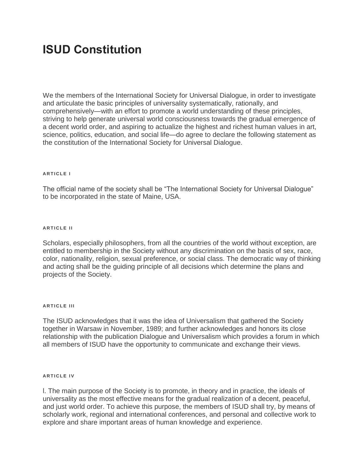# **ISUD Constitution**

We the members of the International Society for Universal Dialogue, in order to investigate and articulate the basic principles of universality systematically, rationally, and comprehensively—with an effort to promote a world understanding of these principles, striving to help generate universal world consciousness towards the gradual emergence of a decent world order, and aspiring to actualize the highest and richest human values in art, science, politics, education, and social life—do agree to declare the following statement as the constitution of the International Society for Universal Dialogue.

## **A R T I C L E I**

The official name of the society shall be "The International Society for Universal Dialogue" to be incorporated in the state of Maine, USA.

#### **ARTICLE II**

Scholars, especially philosophers, from all the countries of the world without exception, are entitled to membership in the Society without any discrimination on the basis of sex, race, color, nationality, religion, sexual preference, or social class. The democratic way of thinking and acting shall be the guiding principle of all decisions which determine the plans and projects of the Society.

#### **ARTICLE III**

The ISUD acknowledges that it was the idea of Universalism that gathered the Society together in Warsaw in November, 1989; and further acknowledges and honors its close relationship with the publication Dialogue and Universalism which provides a forum in which all members of ISUD have the opportunity to communicate and exchange their views.

#### **ARTICLE IV**

l. The main purpose of the Society is to promote, in theory and in practice, the ideals of universality as the most effective means for the gradual realization of a decent, peaceful, and just world order. To achieve this purpose, the members of ISUD shall try, by means of scholarly work, regional and international conferences, and personal and collective work to explore and share important areas of human knowledge and experience.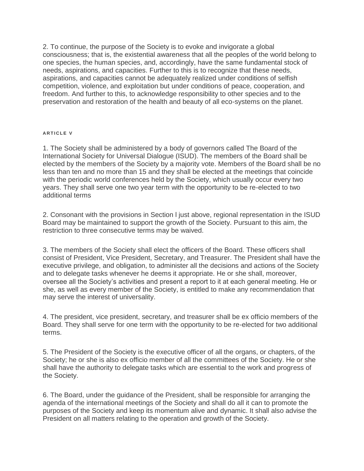2. To continue, the purpose of the Society is to evoke and invigorate a global consciousness; that is, the existential awareness that all the peoples of the world belong to one species, the human species, and, accordingly, have the same fundamental stock of needs, aspirations, and capacities. Further to this is to recognize that these needs, aspirations, and capacities cannot be adequately realized under conditions of selfish competition, violence, and exploitation but under conditions of peace, cooperation, and freedom. And further to this, to acknowledge responsibility to other species and to the preservation and restoration of the health and beauty of all eco-systems on the planet.

## **A R T I C L E V**

1. The Society shall be administered by a body of governors called The Board of the International Society for Universal Dialogue (ISUD). The members of the Board shall be elected by the members of the Society by a majority vote. Members of the Board shall be no less than ten and no more than 15 and they shall be elected at the meetings that coincide with the periodic world conferences held by the Society, which usually occur every two years. They shall serve one two year term with the opportunity to be re-elected to two additional terms

2. Consonant with the provisions in Section l just above, regional representation in the ISUD Board may be maintained to support the growth of the Society. Pursuant to this aim, the restriction to three consecutive terms may be waived.

3. The members of the Society shall elect the officers of the Board. These officers shall consist of President, Vice President, Secretary, and Treasurer. The President shall have the executive privilege, and obligation, to administer all the decisions and actions of the Society and to delegate tasks whenever he deems it appropriate. He or she shall, moreover, oversee all the Society's activities and present a report to it at each general meeting. He or she, as well as every member of the Society, is entitled to make any recommendation that may serve the interest of universality.

4. The president, vice president, secretary, and treasurer shall be ex officio members of the Board. They shall serve for one term with the opportunity to be re-elected for two additional terms.

5. The President of the Society is the executive officer of all the organs, or chapters, of the Society; he or she is also ex officio member of all the committees of the Society. He or she shall have the authority to delegate tasks which are essential to the work and progress of the Society.

6. The Board, under the guidance of the President, shall be responsible for arranging the agenda of the international meetings of the Society and shall do all it can to promote the purposes of the Society and keep its momentum alive and dynamic. It shall also advise the President on all matters relating to the operation and growth of the Society.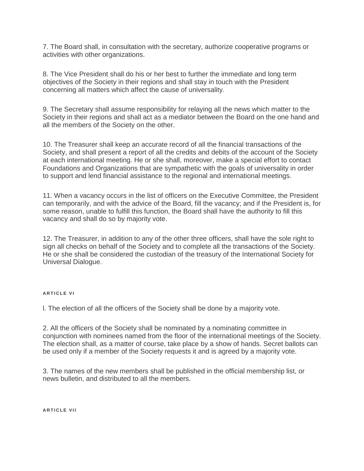7. The Board shall, in consultation with the secretary, authorize cooperative programs or activities with other organizations.

8. The Vice President shall do his or her best to further the immediate and long term objectives of the Society in their regions and shall stay in touch with the President concerning all matters which affect the cause of universality.

9. The Secretary shall assume responsibility for relaying all the news which matter to the Society in their regions and shall act as a mediator between the Board on the one hand and all the members of the Society on the other.

10. The Treasurer shall keep an accurate record of all the financial transactions of the Society, and shall present a report of all the credits and debits of the account of the Society at each international meeting. He or she shall, moreover, make a special effort to contact Foundations and Organizations that are sympathetic with the goals of universality in order to support and lend financial assistance to the regional and international meetings.

11. When a vacancy occurs in the list of officers on the Executive Committee, the President can temporarily, and with the advice of the Board, fill the vacancy; and if the President is, for some reason, unable to fulfill this function, the Board shall have the authority to fill this vacancy and shall do so by majority vote.

12. The Treasurer, in addition to any of the other three officers, shall have the sole right to sign all checks on behalf of the Society and to complete all the transactions of the Society. He or she shall be considered the custodian of the treasury of the International Society for Universal Dialogue.

# **ARTICLE VI**

l. The election of all the officers of the Society shall be done by a majority vote.

2. All the officers of the Society shall be nominated by a nominating committee in conjunction with nominees named from the floor of the international meetings of the Society. The election shall, as a matter of course, take place by a show of hands. Secret ballots can be used only if a member of the Society requests it and is agreed by a majority vote.

3. The names of the new members shall be published in the official membership list, or news bulletin, and distributed to all the members.